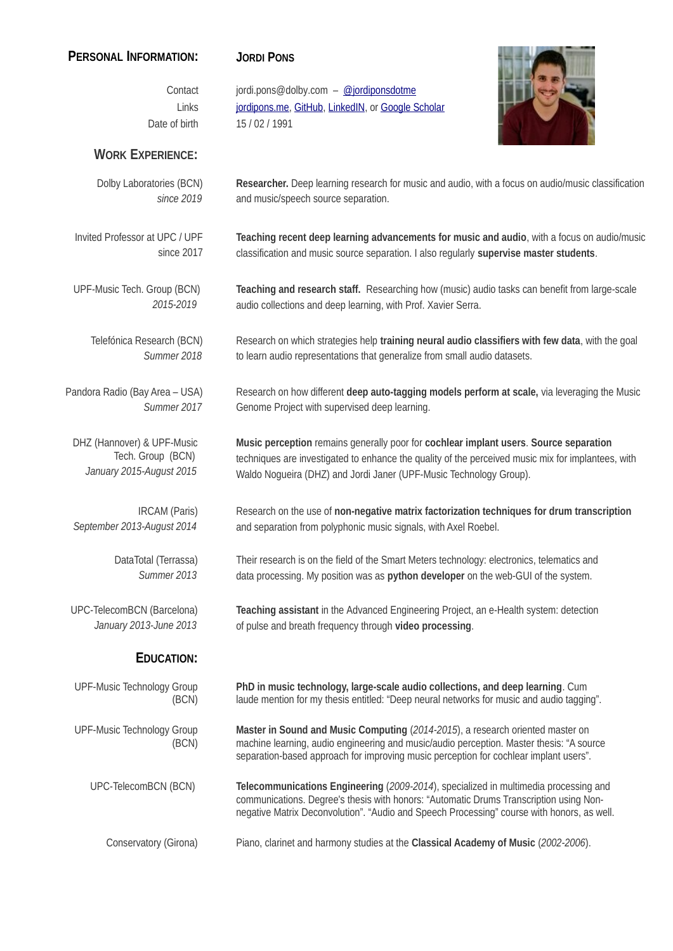## **PERSONAL INFORMATION: JORDI PONS**

Contact jordi.pons@dolby.com – [@jordiponsdotme](https://twitter.com/jordiponsdotme) Links [jordipons.me](http://www.jordipons.me/), [GitHub](http://github.com/jordipons), [LinkedIN](http://es.linkedin.com/in/jordiponspuig), or Google Scholar Date of birth 15 / 02 / 1991



## **WORK EXPERIENCE:**

Dolby Laboratories (BCN) *since 2019* **Researcher.** Deep learning research for music and audio, with a focus on audio/music classification and music/speech source separation. Invited Professor at UPC / UPF since 2017 **Teaching recent deep learning advancements for music and audio**, with a focus on audio/music classification and music source separation. I also regularly **supervise master students**. UPF-Music Tech. Group (BCN) *2015-2019* **Teaching and research staff.** Researching how (music) audio tasks can benefit from large-scale audio collections and deep learning, with Prof. Xavier Serra. Telefónica Research (BCN) *Summer 2018* Research on which strategies help **training neural audio classifiers with few data**, with the goal to learn audio representations that generalize from small audio datasets. Pandora Radio (Bay Area – USA) *Summer 2017* Research on how different **deep auto-tagging models perform at scale,** via leveraging the Music Genome Project with supervised deep learning. DHZ (Hannover) & UPF-Music Tech. Group (BCN) *January 2015-August 2015* **Music perception** remains generally poor for **cochlear implant users**. **Source separation** techniques are investigated to enhance the quality of the perceived music mix for implantees, with Waldo Nogueira (DHZ) and Jordi Janer (UPF-Music Technology Group). IRCAM (Paris) *September 2013-August 2014* Research on the use of **non-negative matrix factorization techniques for drum transcription** and separation from polyphonic music signals, with Axel Roebel. DataTotal (Terrassa) *Summer 2013* Their research is on the field of the Smart Meters technology: electronics, telematics and data processing. My position was as **python developer** on the web-GUI of the system. UPC-TelecomBCN (Barcelona) *January 2013-June 2013* **Teaching assistant** in the Advanced Engineering Project, an e-Health system: detection of pulse and breath frequency through **video processing**. **EDUCATION:** UPF-Music Technology Group (BCN) **PhD in music technology, large-scale audio collections, and deep learning**. Cum laude mention for my thesis entitled: "Deep neural networks for music and audio tagging". UPF-Music Technology Group (BCN) **Master in Sound and Music Computing** (*2014-2015*), a research oriented master on machine learning, audio engineering and music/audio perception. Master thesis: "A source separation-based approach for improving music perception for cochlear implant users". UPC-TelecomBCN (BCN) **Telecommunications Engineering** (*2009-2014*), specialized in multimedia processing and communications. Degree's thesis with honors: "Automatic Drums Transcription using Nonnegative Matrix Deconvolution". "Audio and Speech Processing" course with honors, as well.

Conservatory (Girona) Piano, clarinet and harmony studies at the **Classical Academy of Music** (*2002-2006*).